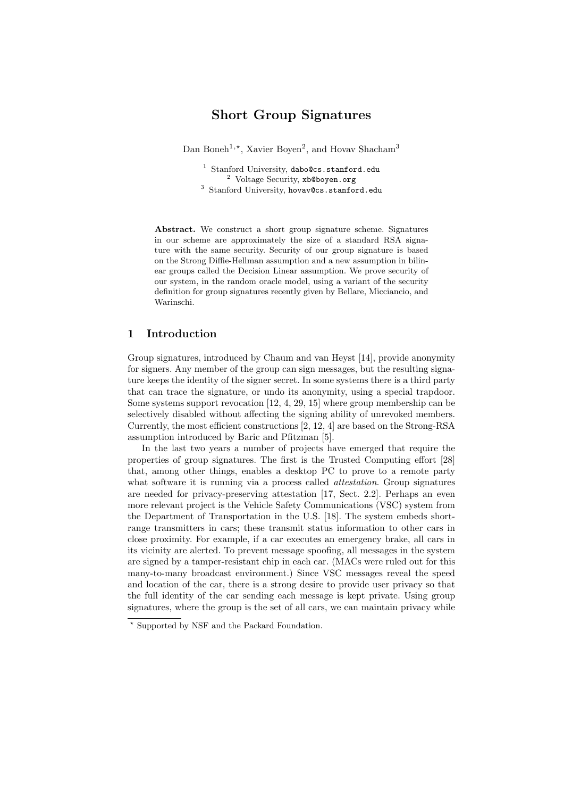# Short Group Signatures

Dan Boneh<sup>1,\*</sup>, Xavier Boyen<sup>2</sup>, and Hovav Shacham<sup>3</sup>

<sup>1</sup> Stanford University, dabo@cs.stanford.edu <sup>2</sup> Voltage Security, xb@boyen.org <sup>3</sup> Stanford University, hovav@cs.stanford.edu

Abstract. We construct a short group signature scheme. Signatures in our scheme are approximately the size of a standard RSA signature with the same security. Security of our group signature is based on the Strong Diffie-Hellman assumption and a new assumption in bilinear groups called the Decision Linear assumption. We prove security of our system, in the random oracle model, using a variant of the security definition for group signatures recently given by Bellare, Micciancio, and Warinschi.

#### 1 Introduction

Group signatures, introduced by Chaum and van Heyst [14], provide anonymity for signers. Any member of the group can sign messages, but the resulting signature keeps the identity of the signer secret. In some systems there is a third party that can trace the signature, or undo its anonymity, using a special trapdoor. Some systems support revocation [12, 4, 29, 15] where group membership can be selectively disabled without affecting the signing ability of unrevoked members. Currently, the most efficient constructions [2, 12, 4] are based on the Strong-RSA assumption introduced by Baric and Pfitzman [5].

In the last two years a number of projects have emerged that require the properties of group signatures. The first is the Trusted Computing effort [28] that, among other things, enables a desktop PC to prove to a remote party what software it is running via a process called *attestation*. Group signatures are needed for privacy-preserving attestation [17, Sect. 2.2]. Perhaps an even more relevant project is the Vehicle Safety Communications (VSC) system from the Department of Transportation in the U.S. [18]. The system embeds shortrange transmitters in cars; these transmit status information to other cars in close proximity. For example, if a car executes an emergency brake, all cars in its vicinity are alerted. To prevent message spoofing, all messages in the system are signed by a tamper-resistant chip in each car. (MACs were ruled out for this many-to-many broadcast environment.) Since VSC messages reveal the speed and location of the car, there is a strong desire to provide user privacy so that the full identity of the car sending each message is kept private. Using group signatures, where the group is the set of all cars, we can maintain privacy while

<sup>?</sup> Supported by NSF and the Packard Foundation.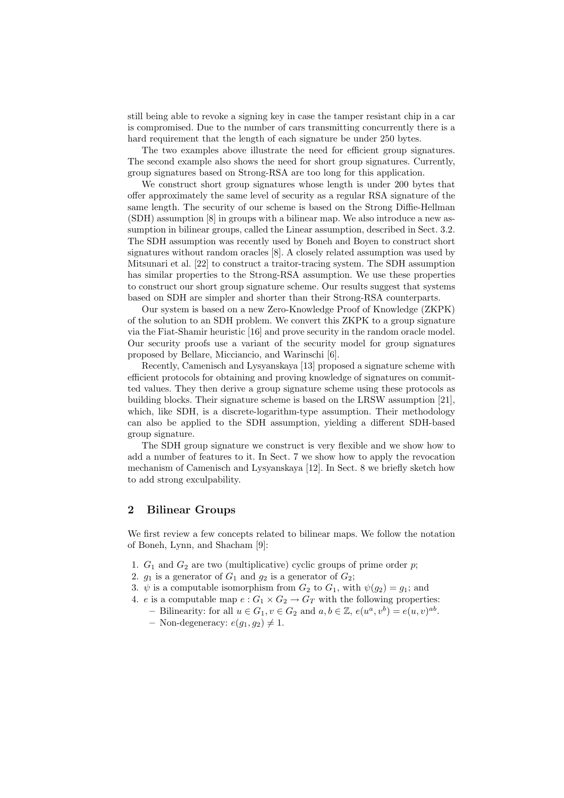still being able to revoke a signing key in case the tamper resistant chip in a car is compromised. Due to the number of cars transmitting concurrently there is a hard requirement that the length of each signature be under 250 bytes.

The two examples above illustrate the need for efficient group signatures. The second example also shows the need for short group signatures. Currently, group signatures based on Strong-RSA are too long for this application.

We construct short group signatures whose length is under 200 bytes that offer approximately the same level of security as a regular RSA signature of the same length. The security of our scheme is based on the Strong Diffie-Hellman (SDH) assumption [8] in groups with a bilinear map. We also introduce a new assumption in bilinear groups, called the Linear assumption, described in Sect. 3.2. The SDH assumption was recently used by Boneh and Boyen to construct short signatures without random oracles [8]. A closely related assumption was used by Mitsunari et al. [22] to construct a traitor-tracing system. The SDH assumption has similar properties to the Strong-RSA assumption. We use these properties to construct our short group signature scheme. Our results suggest that systems based on SDH are simpler and shorter than their Strong-RSA counterparts.

Our system is based on a new Zero-Knowledge Proof of Knowledge (ZKPK) of the solution to an SDH problem. We convert this ZKPK to a group signature via the Fiat-Shamir heuristic [16] and prove security in the random oracle model. Our security proofs use a variant of the security model for group signatures proposed by Bellare, Micciancio, and Warinschi [6].

Recently, Camenisch and Lysyanskaya [13] proposed a signature scheme with efficient protocols for obtaining and proving knowledge of signatures on committed values. They then derive a group signature scheme using these protocols as building blocks. Their signature scheme is based on the LRSW assumption [21], which, like SDH, is a discrete-logarithm-type assumption. Their methodology can also be applied to the SDH assumption, yielding a different SDH-based group signature.

The SDH group signature we construct is very flexible and we show how to add a number of features to it. In Sect. 7 we show how to apply the revocation mechanism of Camenisch and Lysyanskaya [12]. In Sect. 8 we briefly sketch how to add strong exculpability.

## 2 Bilinear Groups

We first review a few concepts related to bilinear maps. We follow the notation of Boneh, Lynn, and Shacham [9]:

- 1.  $G_1$  and  $G_2$  are two (multiplicative) cyclic groups of prime order p;
- 2.  $q_1$  is a generator of  $G_1$  and  $q_2$  is a generator of  $G_2$ ;
- 3.  $\psi$  is a computable isomorphism from  $G_2$  to  $G_1$ , with  $\psi(g_2) = g_1$ ; and
- 4. e is a computable map  $e: G_1 \times G_2 \to G_T$  with the following properties:
- Bilinearity: for all  $u \in G_1$ ,  $v \in G_2$  and  $a, b \in \mathbb{Z}$ ,  $e(u^a, v^b) = e(u, v)^{ab}$ .
	- Non-degeneracy:  $e(g_1, g_2) \neq 1$ .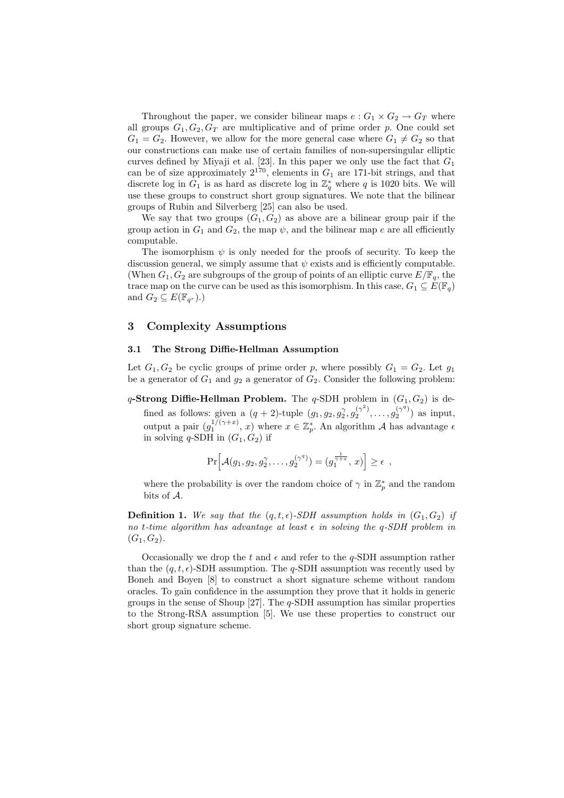Throughout the paper, we consider bilinear maps  $e: G_1 \times G_2 \to G_T$  where all groups  $G_1, G_2, G_T$  are multiplicative and of prime order p. One could set  $G_1 = G_2$ . However, we allow for the more general case where  $G_1 \neq G_2$  so that our constructions can make use of certain families of non-supersingular elliptic curves defined by Miyaji et al. [23]. In this paper we only use the fact that  $G_1$ can be of size approximately  $2^{170}$ , elements in  $G_1$  are 171-bit strings, and that discrete log in  $G_1$  is as hard as discrete log in  $\mathbb{Z}_q^*$  where q is 1020 bits. We will use these groups to construct short group signatures. We note that the bilinear groups of Rubin and Silverberg [25] can also be used.

We say that two groups  $(G_1, G_2)$  as above are a bilinear group pair if the group action in  $G_1$  and  $G_2$ , the map  $\psi$ , and the bilinear map e are all efficiently computable.

The isomorphism  $\psi$  is only needed for the proofs of security. To keep the discussion general, we simply assume that  $\psi$  exists and is efficiently computable. (When  $G_1, G_2$  are subgroups of the group of points of an elliptic curve  $E/\mathbb{F}_q$ , the trace map on the curve can be used as this isomorphism. In this case,  $G_1 \subseteq E(\mathbb{F}_q)$ and  $G_2 \subseteq E(\mathbb{F}_{q^r})$ .)

## 3 Complexity Assumptions

## 3.1 The Strong Diffie-Hellman Assumption

Let  $G_1, G_2$  be cyclic groups of prime order p, where possibly  $G_1 = G_2$ . Let  $g_1$ be a generator of  $G_1$  and  $g_2$  a generator of  $G_2$ . Consider the following problem:

q-Strong Diffie-Hellman Problem. The q-SDH problem in  $(G_1, G_2)$  is defined as follows: given a  $(q+2)$ -tuple  $(g_1, g_2, g_2^{\gamma}, g_2^{(\gamma^2)}, \ldots, g_2^{(\gamma^q)})$  as input, output a pair  $(g_1^{1/(\gamma+x)}, x)$  where  $x \in \mathbb{Z}_p^*$ . An algorithm A has advantage  $\epsilon$ in solving q-SDH in  $(G_1, G_2)$  if

$$
\Pr\Big[\mathcal{A}(g_1, g_2, g_2^{\gamma}, \dots, g_2^{(\gamma^q)}) = (g_1^{\frac{1}{\gamma + x}}, x)\Big] \geq \epsilon ,
$$

where the probability is over the random choice of  $\gamma$  in  $\mathbb{Z}_p^*$  and the random bits of A.

**Definition 1.** We say that the  $(q, t, \epsilon)$ -SDH assumption holds in  $(G_1, G_2)$  if no t-time algorithm has advantage at least  $\epsilon$  in solving the q-SDH problem in  $(G_1, G_2)$ .

Occasionally we drop the t and  $\epsilon$  and refer to the q-SDH assumption rather than the  $(q, t, \epsilon)$ -SDH assumption. The q-SDH assumption was recently used by Boneh and Boyen [8] to construct a short signature scheme without random oracles. To gain confidence in the assumption they prove that it holds in generic groups in the sense of Shoup [27]. The  $q$ -SDH assumption has similar properties to the Strong-RSA assumption [5]. We use these properties to construct our short group signature scheme.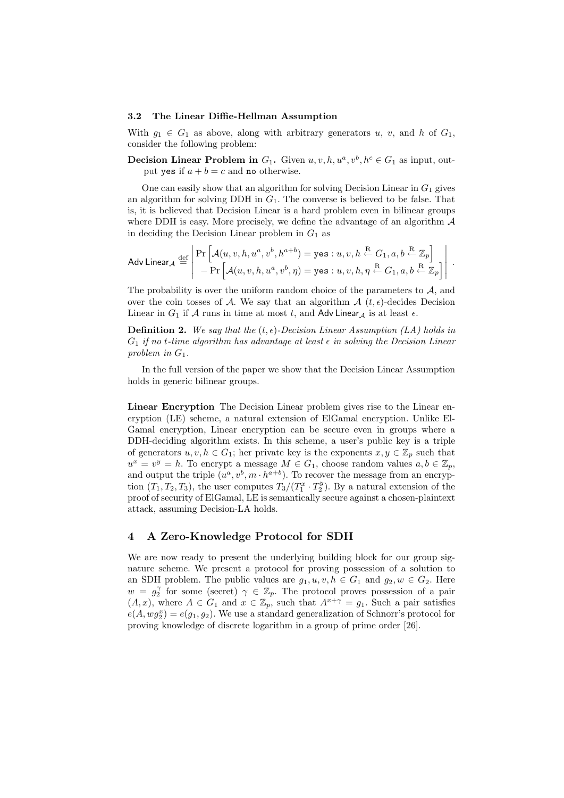#### 3.2 The Linear Diffie-Hellman Assumption

With  $g_1 \in G_1$  as above, along with arbitrary generators u, v, and h of  $G_1$ , consider the following problem:

**Decision Linear Problem in**  $G_1$ . Given  $u, v, h, u^a, v^b, h^c \in G_1$  as input, output yes if  $a + b = c$  and no otherwise.

One can easily show that an algorithm for solving Decision Linear in  $G_1$  gives an algorithm for solving DDH in  $G_1$ . The converse is believed to be false. That is, it is believed that Decision Linear is a hard problem even in bilinear groups where DDH is easy. More precisely, we define the advantage of an algorithm  $A$ in deciding the Decision Linear problem in  $G_1$  as

$$
\mathsf{Adv\,Linear}_{\mathcal{A}} \stackrel{\text{def}}{=} \left| \begin{array}{l} \Pr\left[ \mathcal{A}(u, v, h, u^a, v^b, h^{a+b}) = \mathsf{yes} : u, v, h \stackrel{\text{R}}{\leftarrow} G_1, a, b \stackrel{\text{R}}{\leftarrow} \mathbb{Z}_p \right] \\ - \Pr\left[ \mathcal{A}(u, v, h, u^a, v^b, \eta) = \mathsf{yes} : u, v, h, \eta \stackrel{\text{R}}{\leftarrow} G_1, a, b \stackrel{\text{R}}{\leftarrow} \mathbb{Z}_p \right] \end{array} \right| \right|.
$$

The probability is over the uniform random choice of the parameters to  $A$ , and over the coin tosses of A. We say that an algorithm  $\mathcal{A}(t, \epsilon)$ -decides Decision Linear in  $G_1$  if A runs in time at most t, and Adv Linear<sub>A</sub> is at least  $\epsilon$ .

**Definition 2.** We say that the  $(t, \epsilon)$ -Decision Linear Assumption (LA) holds in  $G_1$  if no t-time algorithm has advantage at least  $\epsilon$  in solving the Decision Linear problem in  $G_1$ .

In the full version of the paper we show that the Decision Linear Assumption holds in generic bilinear groups.

Linear Encryption The Decision Linear problem gives rise to the Linear encryption (LE) scheme, a natural extension of ElGamal encryption. Unlike El-Gamal encryption, Linear encryption can be secure even in groups where a DDH-deciding algorithm exists. In this scheme, a user's public key is a triple of generators  $u, v, h \in G_1$ ; her private key is the exponents  $x, y \in \mathbb{Z}_p$  such that  $u^x = v^y = h$ . To encrypt a message  $M \in G_1$ , choose random values  $a, b \in \mathbb{Z}_p$ , and output the triple  $(u^a, v^b, m \cdot h^{a+b})$ . To recover the message from an encryption  $(T_1, T_2, T_3)$ , the user computes  $T_3/(T_1^x \cdot T_2^y)$ . By a natural extension of the proof of security of ElGamal, LE is semantically secure against a chosen-plaintext attack, assuming Decision-LA holds.

## 4 A Zero-Knowledge Protocol for SDH

We are now ready to present the underlying building block for our group signature scheme. We present a protocol for proving possession of a solution to an SDH problem. The public values are  $g_1, u, v, h \in G_1$  and  $g_2, w \in G_2$ . Here  $w = g_2^{\gamma}$  for some (secret)  $\gamma \in \mathbb{Z}_p$ . The protocol proves possession of a pair  $(A, x)$ , where  $A \in G_1$  and  $x \in \mathbb{Z}_p$ , such that  $A^{x+\gamma} = g_1$ . Such a pair satisfies  $e(A, wg_2^x) = e(g_1, g_2)$ . We use a standard generalization of Schnorr's protocol for proving knowledge of discrete logarithm in a group of prime order [26].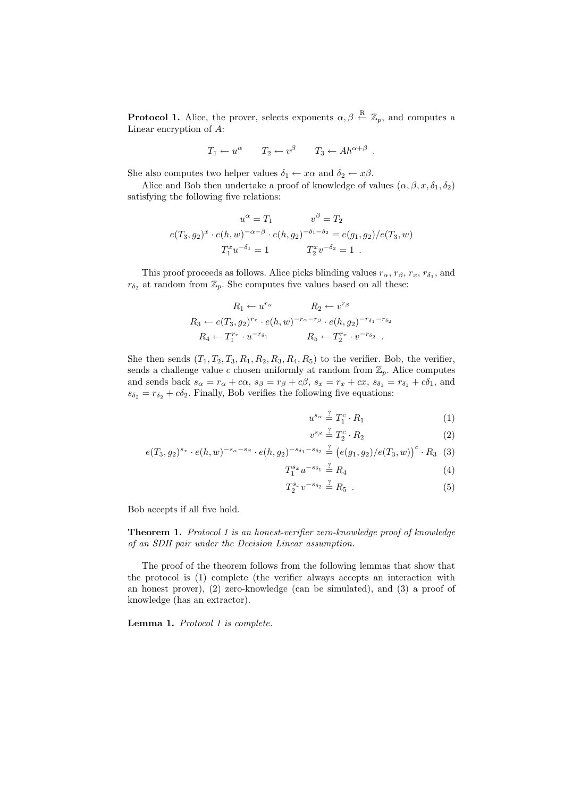**Protocol 1.** Alice, the prover, selects exponents  $\alpha, \beta \stackrel{\text{R}}{\leftarrow} \mathbb{Z}_p$ , and computes a Linear encryption of A:

$$
T_1 \leftarrow u^{\alpha}
$$
  $T_2 \leftarrow v^{\beta}$   $T_3 \leftarrow Ah^{\alpha+\beta}$ .

She also computes two helper values  $\delta_1 \leftarrow x\alpha$  and  $\delta_2 \leftarrow x\beta$ .

Alice and Bob then undertake a proof of knowledge of values  $(\alpha, \beta, x, \delta_1, \delta_2)$ satisfying the following five relations:

$$
u^{\alpha} = T_1 \qquad v^{\beta} = T_2
$$
  

$$
e(T_3, g_2)^x \cdot e(h, w)^{-\alpha - \beta} \cdot e(h, g_2)^{-\delta_1 - \delta_2} = e(g_1, g_2) / e(T_3, w)
$$
  

$$
T_1^x u^{-\delta_1} = 1 \qquad T_2^x v^{-\delta_2} = 1.
$$

This proof proceeds as follows. Alice picks blinding values  $r_{\alpha}$ ,  $r_{\beta}$ ,  $r_x$ ,  $r_{\delta_1}$ , and  $r_{\delta_2}$  at random from  $\mathbb{Z}_p$ . She computes five values based on all these:

$$
R_1 \leftarrow u^{r_{\alpha}} \qquad R_2 \leftarrow v^{r_{\beta}}
$$
  
\n
$$
R_3 \leftarrow e(T_3, g_2)^{r_x} \cdot e(h, w)^{-r_{\alpha} - r_{\beta}} \cdot e(h, g_2)^{-r_{\delta_1} - r_{\delta_2}}
$$
  
\n
$$
R_4 \leftarrow T_1^{r_x} \cdot u^{-r_{\delta_1}}
$$
  
\n
$$
R_5 \leftarrow T_2^{r_x} \cdot v^{-r_{\delta_2}}
$$

She then sends  $(T_1, T_2, T_3, R_1, R_2, R_3, R_4, R_5)$  to the verifier. Bob, the verifier, sends a challenge value c chosen uniformly at random from  $\mathbb{Z}_p$ . Alice computes and sends back  $s_{\alpha} = r_{\alpha} + c\alpha$ ,  $s_{\beta} = r_{\beta} + c\beta$ ,  $s_x = r_x + cx$ ,  $s_{\delta_1} = r_{\delta_1} + c\delta_1$ , and  $s_{\delta_2} = r_{\delta_2} + c\delta_2$ . Finally, Bob verifies the following five equations:

$$
u^{s_{\alpha}} \stackrel{?}{=} T_1^c \cdot R_1 \tag{1}
$$

$$
v^{s_{\beta}} \stackrel{?}{=} T_2^c \cdot R_2 \tag{2}
$$

$$
e(T_3, g_2)^{s_x} \cdot e(h, w)^{-s_\alpha - s_\beta} \cdot e(h, g_2)^{-s_{\delta_1} - s_{\delta_2}} \stackrel{?}{=} \left(e(g_1, g_2)/e(T_3, w)\right)^c \cdot R_3 \tag{3}
$$

$$
T_1^{s_x} u^{-s_{\delta_1}} \stackrel{?}{=} R_4 \tag{4}
$$

$$
T_2^{s_x} v^{-s_{\delta_2}} \stackrel{?}{=} R_5 . \tag{5}
$$

Bob accepts if all five hold.

Theorem 1. Protocol 1 is an honest-verifier zero-knowledge proof of knowledge of an SDH pair under the Decision Linear assumption.

The proof of the theorem follows from the following lemmas that show that the protocol is (1) complete (the verifier always accepts an interaction with an honest prover), (2) zero-knowledge (can be simulated), and (3) a proof of knowledge (has an extractor).

Lemma 1. Protocol 1 is complete.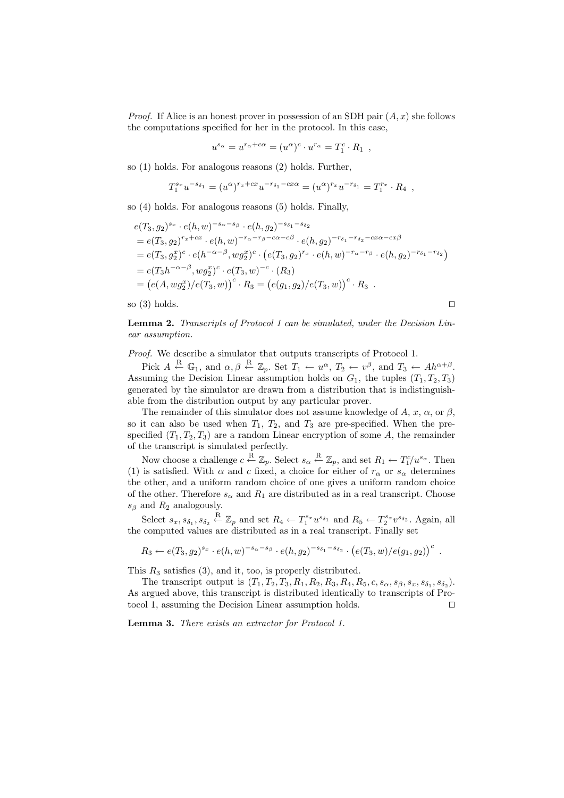*Proof.* If Alice is an honest prover in possession of an SDH pair  $(A, x)$  she follows the computations specified for her in the protocol. In this case,

$$
u^{s_{\alpha}} = u^{r_{\alpha} + c\alpha} = (u^{\alpha})^c \cdot u^{r_{\alpha}} = T_1^c \cdot R_1 ,
$$

so (1) holds. For analogous reasons (2) holds. Further,

$$
T_1^{s_x}u^{-s_{\delta_1}} = (u^{\alpha})^{r_x + cx}u^{-r_{\delta_1} - cx\alpha} = (u^{\alpha})^{r_x}u^{-r_{\delta_1}} = T_1^{r_x} \cdot R_4 ,
$$

so (4) holds. For analogous reasons (5) holds. Finally,

$$
e(T_3, g_2)^{s_x} \cdot e(h, w)^{-s_{\alpha} - s_{\beta}} \cdot e(h, g_2)^{-s_{\delta_1} - s_{\delta_2}}
$$
  
=  $e(T_3, g_2)^{r_x + cx} \cdot e(h, w)^{-r_{\alpha} - r_{\beta} - c\alpha - c\beta} \cdot e(h, g_2)^{-r_{\delta_1} - r_{\delta_2} - cx\alpha - cx\beta}$   
=  $e(T_3, g_2^x)^c \cdot e(h^{-\alpha - \beta}, w g_2^x)^c \cdot (e(T_3, g_2)^{r_x} \cdot e(h, w)^{-r_{\alpha} - r_{\beta}} \cdot e(h, g_2)^{-r_{\delta_1} - r_{\delta_2}})$   
=  $e(T_3 h^{-\alpha - \beta}, w g_2^x)^c \cdot e(T_3, w)^{-c} \cdot (R_3)$   
=  $(e(A, w g_2^x)/e(T_3, w))^c \cdot R_3 = (e(g_1, g_2)/e(T_3, w))^c \cdot R_3$ .

so (3) holds.  $\square$ 

Lemma 2. Transcripts of Protocol 1 can be simulated, under the Decision Linear assumption.

Proof. We describe a simulator that outputs transcripts of Protocol 1.

Pick  $A \stackrel{\text{R}}{\leftarrow} \mathbb{G}_1$ , and  $\alpha, \beta \stackrel{\text{R}}{\leftarrow} \mathbb{Z}_p$ . Set  $T_1 \leftarrow u^{\alpha}, T_2 \leftarrow v^{\beta}$ , and  $T_3 \leftarrow Ah^{\alpha+\beta}$ . Assuming the Decision Linear assumption holds on  $G_1$ , the tuples  $(T_1, T_2, T_3)$ generated by the simulator are drawn from a distribution that is indistinguishable from the distribution output by any particular prover.

The remainder of this simulator does not assume knowledge of A, x,  $\alpha$ , or  $\beta$ , so it can also be used when  $T_1$ ,  $T_2$ , and  $T_3$  are pre-specified. When the prespecified  $(T_1, T_2, T_3)$  are a random Linear encryption of some A, the remainder of the transcript is simulated perfectly.

Now choose a challenge  $c \stackrel{\text{R}}{\leftarrow} \mathbb{Z}_p$ . Select  $s_\alpha \stackrel{\text{R}}{\leftarrow} \mathbb{Z}_p$ , and set  $R_1 \leftarrow T_1^{c}/u^{s_\alpha}$ . Then (1) is satisfied. With  $\alpha$  and c fixed, a choice for either of  $r_{\alpha}$  or  $s_{\alpha}$  determines the other, and a uniform random choice of one gives a uniform random choice of the other. Therefore  $s_{\alpha}$  and  $R_1$  are distributed as in a real transcript. Choose  $s_{\beta}$  and  $R_2$  analogously.

Select  $s_x, s_{\delta_1}, s_{\delta_2} \stackrel{\text{R}}{\leftarrow} \mathbb{Z}_p$  and set  $R_4 \leftarrow T_1^{s_x} u^{s_{\delta_1}}$  and  $R_5 \leftarrow T_2^{s_x} v^{s_{\delta_2}}$ . Again, all the computed values are distributed as in a real transcript. Finally set

$$
R_3 \leftarrow e(T_3, g_2)^{s_x} \cdot e(h, w)^{-s_{\alpha} - s_{\beta}} \cdot e(h, g_2)^{-s_{\delta_1} - s_{\delta_2}} \cdot (e(T_3, w) / e(g_1, g_2))^c
$$
.

This  $R_3$  satisfies  $(3)$ , and it, too, is properly distributed.

The transcript output is  $(T_1, T_2, T_3, R_1, R_2, R_3, R_4, R_5, c, s_\alpha, s_\beta, s_x, s_{\delta_1}, s_{\delta_2}).$ As argued above, this transcript is distributed identically to transcripts of Protocol 1, assuming the Decision Linear assumption holds.  $\square$ 

Lemma 3. There exists an extractor for Protocol 1.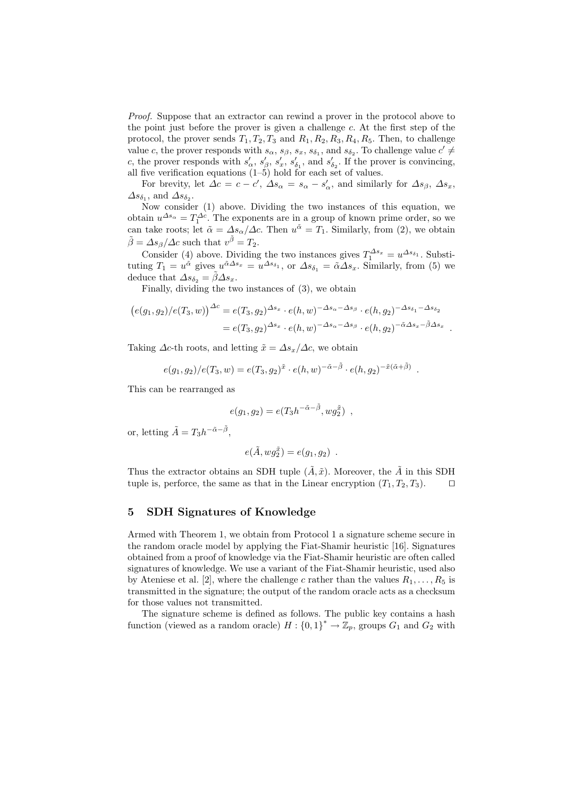Proof. Suppose that an extractor can rewind a prover in the protocol above to the point just before the prover is given a challenge c. At the first step of the protocol, the prover sends  $T_1, T_2, T_3$  and  $R_1, R_2, R_3, R_4, R_5$ . Then, to challenge value c, the prover responds with  $s_{\alpha}$ ,  $s_{\beta}$ ,  $s_x$ ,  $s_{\delta_1}$ , and  $s_{\delta_2}$ . To challenge value  $c' \neq$ c, the prover responds with  $s'_\alpha$ ,  $s'_\beta$ ,  $s'_x$ ,  $s'_{\delta_1}$ , and  $s'_{\delta_2}$ . If the prover is convincing, all five verification equations  $(1–5)$  hold for each set of values.

For brevity, let  $\Delta c = c - c'$ ,  $\Delta s_{\alpha} = s_{\alpha} - s'_{\alpha}$ , and similarly for  $\Delta s_{\beta}$ ,  $\Delta s_x$ ,  $\Delta s_{\delta_1}$ , and  $\Delta s_{\delta_2}$ .

Now consider (1) above. Dividing the two instances of this equation, we obtain  $u^{\Delta s_{\alpha}} = T_1^{\Delta c}$ . The exponents are in a group of known prime order, so we can take roots; let  $\tilde{\alpha} = \Delta s_{\alpha}/\Delta c$ . Then  $u^{\tilde{\alpha}} = T_1$ . Similarly, from (2), we obtain  $\tilde{\beta} = \Delta s_{\beta} / \Delta c$  such that  $v^{\tilde{\beta}} = T_2$ .

Consider (4) above. Dividing the two instances gives  $T_1^{\Delta s_x} = u^{\Delta s_{\delta_1}}$ . Substituting  $T_1 = u^{\tilde{\alpha}}$  gives  $u^{\tilde{\alpha}\Delta s_x} = u^{\Delta s_{\delta_1}}$ , or  $\Delta s_{\delta_1} = \tilde{\alpha}\Delta s_x$ . Similarly, from (5) we deduce that  $\Delta s_{\delta_2} = \tilde{\beta} \Delta s_x$ .

Finally, dividing the two instances of (3), we obtain

$$
(e(g_1, g_2)/e(T_3, w))^{\Delta c} = e(T_3, g_2)^{\Delta s_x} \cdot e(h, w)^{-\Delta s_\alpha - \Delta s_\beta} \cdot e(h, g_2)^{-\Delta s_{\delta_1} - \Delta s_{\delta_2}}
$$
  
=  $e(T_3, g_2)^{\Delta s_x} \cdot e(h, w)^{-\Delta s_\alpha - \Delta s_\beta} \cdot e(h, g_2)^{-\tilde{\alpha}\Delta s_x - \tilde{\beta}\Delta s_x}$ .

Taking  $\Delta c$ -th roots, and letting  $\tilde{x} = \Delta s_x/\Delta c$ , we obtain

$$
e(g_1, g_2)/e(T_3, w) = e(T_3, g_2)^{\tilde{x}} \cdot e(h, w)^{-\tilde{\alpha} - \tilde{\beta}} \cdot e(h, g_2)^{-\tilde{x}(\tilde{\alpha} + \tilde{\beta})}
$$
.

This can be rearranged as

$$
e(g_1, g_2) = e(T_3 h^{-\tilde{\alpha} - \tilde{\beta}}, w g_2^{\tilde{x}}),
$$

or, letting  $\tilde{A} = T_3 h^{-\tilde{\alpha} - \tilde{\beta}},$ 

$$
e(\tilde{A}, w g_2^{\tilde{x}}) = e(g_1, g_2) .
$$

Thus the extractor obtains an SDH tuple  $(\tilde{A}, \tilde{x})$ . Moreover, the  $\tilde{A}$  in this SDH tuple is, perforce, the same as that in the Linear encryption  $(T_1, T_2, T_3)$ .

## 5 SDH Signatures of Knowledge

Armed with Theorem 1, we obtain from Protocol 1 a signature scheme secure in the random oracle model by applying the Fiat-Shamir heuristic [16]. Signatures obtained from a proof of knowledge via the Fiat-Shamir heuristic are often called signatures of knowledge. We use a variant of the Fiat-Shamir heuristic, used also by Ateniese et al. [2], where the challenge c rather than the values  $R_1, \ldots, R_5$  is transmitted in the signature; the output of the random oracle acts as a checksum for those values not transmitted.

The signature scheme is defined as follows. The public key contains a hash function (viewed as a random oracle)  $H: \{0,1\}^* \to \mathbb{Z}_p$ , groups  $G_1$  and  $G_2$  with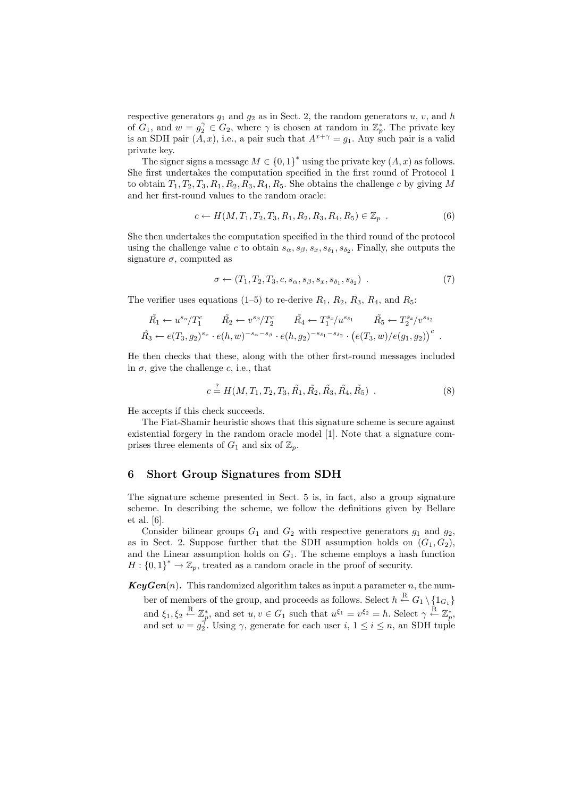respective generators  $g_1$  and  $g_2$  as in Sect. 2, the random generators u, v, and h of  $G_1$ , and  $w = g_2^{\gamma} \in G_2$ , where  $\gamma$  is chosen at random in  $\mathbb{Z}_p^*$ . The private key is an SDH pair  $(A, x)$ , i.e., a pair such that  $A^{x+\gamma} = g_1$ . Any such pair is a valid private key.

The signer signs a message  $M \in \{0,1\}^*$  using the private key  $(A, x)$  as follows. She first undertakes the computation specified in the first round of Protocol 1 to obtain  $T_1, T_2, T_3, R_1, R_2, R_3, R_4, R_5$ . She obtains the challenge c by giving M and her first-round values to the random oracle:

$$
c \leftarrow H(M, T_1, T_2, T_3, R_1, R_2, R_3, R_4, R_5) \in \mathbb{Z}_p
$$
 (6)

She then undertakes the computation specified in the third round of the protocol using the challenge value c to obtain  $s_{\alpha}, s_{\beta}, s_x, s_{\delta_1}, s_{\delta_2}$ . Finally, she outputs the signature  $\sigma$ , computed as

$$
\sigma \leftarrow (T_1, T_2, T_3, c, s_\alpha, s_\beta, s_x, s_{\delta_1}, s_{\delta_2}) \tag{7}
$$

The verifier uses equations (1–5) to re-derive  $R_1, R_2, R_3, R_4$ , and  $R_5$ :

$$
\tilde{R_1} \leftarrow u^{s_{\alpha}}/T_1^c \qquad \tilde{R_2} \leftarrow v^{s_{\beta}}/T_2^c \qquad \tilde{R_4} \leftarrow T_1^{s_x}/u^{s_{\delta_1}} \qquad \tilde{R_5} \leftarrow T_2^{s_x}/v^{s_{\delta_2}} \n\tilde{R_3} \leftarrow e(T_3, g_2)^{s_x} \cdot e(h, w)^{-s_{\alpha} - s_{\beta}} \cdot e(h, g_2)^{-s_{\delta_1} - s_{\delta_2}} \cdot \left(e(T_3, w)/e(g_1, g_2)\right)^c.
$$

He then checks that these, along with the other first-round messages included in  $\sigma$ , give the challenge c, i.e., that

$$
c \stackrel{?}{=} H(M, T_1, T_2, T_3, \tilde{R_1}, \tilde{R_2}, \tilde{R_3}, \tilde{R_4}, \tilde{R_5}) . \tag{8}
$$

He accepts if this check succeeds.

The Fiat-Shamir heuristic shows that this signature scheme is secure against existential forgery in the random oracle model [1]. Note that a signature comprises three elements of  $G_1$  and six of  $\mathbb{Z}_p$ .

#### 6 Short Group Signatures from SDH

The signature scheme presented in Sect. 5 is, in fact, also a group signature scheme. In describing the scheme, we follow the definitions given by Bellare et al. [6].

Consider bilinear groups  $G_1$  and  $G_2$  with respective generators  $g_1$  and  $g_2$ , as in Sect. 2. Suppose further that the SDH assumption holds on  $(G_1, G_2)$ , and the Linear assumption holds on  $G_1$ . The scheme employs a hash function  $H: \{0,1\}^* \to \mathbb{Z}_p$ , treated as a random oracle in the proof of security.

 $KeyGen(n)$ . This randomized algorithm takes as input a parameter n, the number of members of the group, and proceeds as follows. Select  $h \stackrel{\text{R}}{\leftarrow} G_1 \setminus \{1_{G_1}\}$ and  $\xi_1, \xi_2 \stackrel{\text{R}}{\leftarrow} \mathbb{Z}_p^*$ , and set  $u, v \in G_1$  such that  $u^{\xi_1} = v^{\xi_2} = h$ . Select  $\gamma \stackrel{\text{R}}{\leftarrow} \mathbb{Z}_p^*$ , and set  $w = g_2^{\gamma}$ . Using  $\gamma$ , generate for each user  $i, 1 \le i \le n$ , an SDH tuple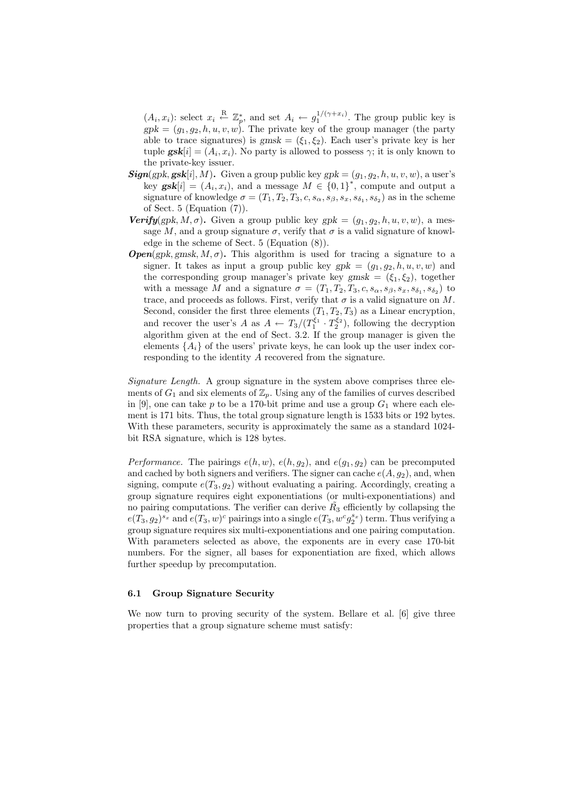$(A_i, x_i)$ : select  $x_i \stackrel{\text{R}}{\leftarrow} \mathbb{Z}_p^*$ , and set  $A_i \leftarrow g_1^{1/(\gamma + x_i)}$ . The group public key is  $gpk = (g_1, g_2, h, u, v, w)$ . The private key of the group manager (the party able to trace signatures) is  $gmsk = (\xi_1, \xi_2)$ . Each user's private key is her tuple  $\mathbf{gsk}[i] = (A_i, x_i)$ . No party is allowed to possess  $\gamma$ ; it is only known to the private-key issuer.

- $\mathbf{Sign}(\text{gpk}, \textbf{gsk}[i], M)$ . Given a group public key  $\text{gpk} = (g_1, g_2, h, u, v, w)$ , a user's key  $\mathbf{gsk}[i] = (A_i, x_i)$ , and a message  $M \in \{0,1\}^*$ , compute and output a signature of knowledge  $\sigma = (T_1, T_2, T_3, c, s_\alpha, s_\beta, s_x, s_{\delta_1}, s_{\delta_2})$  as in the scheme of Sect. 5 (Equation (7)).
- **Verify**(gpk, M,  $\sigma$ ). Given a group public key gpk =  $(q_1, q_2, h, u, v, w)$ , a message M, and a group signature  $\sigma$ , verify that  $\sigma$  is a valid signature of knowledge in the scheme of Sect. 5 (Equation (8)).
- **Open**(gpk, gmsk,  $M, \sigma$ ). This algorithm is used for tracing a signature to a signer. It takes as input a group public key  $gpk = (g_1, g_2, h, u, v, w)$  and the corresponding group manager's private key gmsk =  $(\xi_1, \xi_2)$ , together with a message M and a signature  $\sigma = (T_1, T_2, T_3, c, s_\alpha, s_\beta, s_x, s_{\delta_1}, s_{\delta_2})$  to trace, and proceeds as follows. First, verify that  $\sigma$  is a valid signature on M. Second, consider the first three elements  $(T_1, T_2, T_3)$  as a Linear encryption, and recover the user's A as  $A \leftarrow T_3/(T_1^{\xi_1} \cdot T_2^{\xi_2})$ , following the decryption algorithm given at the end of Sect. 3.2. If the group manager is given the elements  $\{A_i\}$  of the users' private keys, he can look up the user index corresponding to the identity A recovered from the signature.

Signature Length. A group signature in the system above comprises three elements of  $G_1$  and six elements of  $\mathbb{Z}_n$ . Using any of the families of curves described in [9], one can take p to be a 170-bit prime and use a group  $G_1$  where each element is 171 bits. Thus, the total group signature length is 1533 bits or 192 bytes. With these parameters, security is approximately the same as a standard 1024 bit RSA signature, which is 128 bytes.

Performance. The pairings  $e(h, w)$ ,  $e(h, g_2)$ , and  $e(g_1, g_2)$  can be precomputed and cached by both signers and verifiers. The signer can cache  $e(A, g_2)$ , and, when signing, compute  $e(T_3, g_2)$  without evaluating a pairing. Accordingly, creating a group signature requires eight exponentiations (or multi-exponentiations) and no pairing computations. The verifier can derive  $R_3$  efficiently by collapsing the  $e(T_3,g_2)^{s_x}$  and  $e(T_3,w)^c$  pairings into a single  $e(T_3,w^cg_2^{s_x})$  term. Thus verifying a group signature requires six multi-exponentiations and one pairing computation. With parameters selected as above, the exponents are in every case 170-bit numbers. For the signer, all bases for exponentiation are fixed, which allows further speedup by precomputation.

#### 6.1 Group Signature Security

We now turn to proving security of the system. Bellare et al. [6] give three properties that a group signature scheme must satisfy: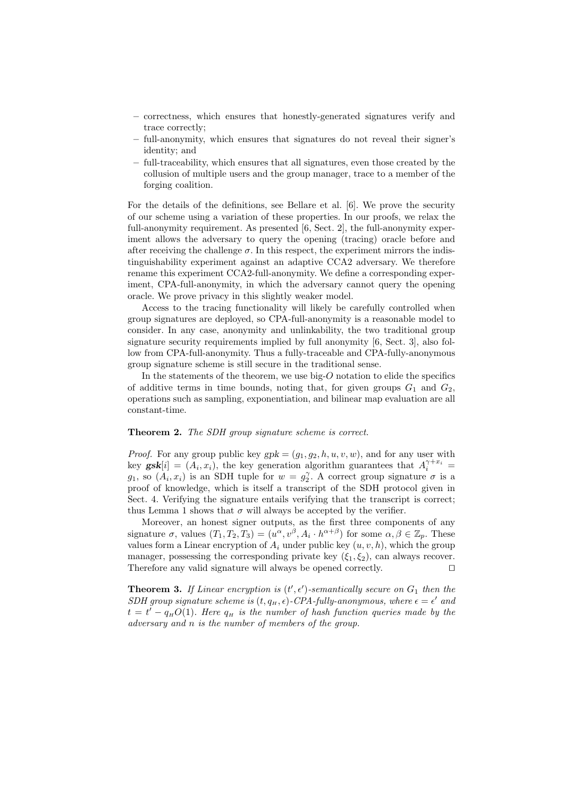- correctness, which ensures that honestly-generated signatures verify and trace correctly;
- full-anonymity, which ensures that signatures do not reveal their signer's identity; and
- full-traceability, which ensures that all signatures, even those created by the collusion of multiple users and the group manager, trace to a member of the forging coalition.

For the details of the definitions, see Bellare et al. [6]. We prove the security of our scheme using a variation of these properties. In our proofs, we relax the full-anonymity requirement. As presented [6, Sect. 2], the full-anonymity experiment allows the adversary to query the opening (tracing) oracle before and after receiving the challenge  $\sigma$ . In this respect, the experiment mirrors the indistinguishability experiment against an adaptive CCA2 adversary. We therefore rename this experiment CCA2-full-anonymity. We define a corresponding experiment, CPA-full-anonymity, in which the adversary cannot query the opening oracle. We prove privacy in this slightly weaker model.

Access to the tracing functionality will likely be carefully controlled when group signatures are deployed, so CPA-full-anonymity is a reasonable model to consider. In any case, anonymity and unlinkability, the two traditional group signature security requirements implied by full anonymity [6, Sect. 3], also follow from CPA-full-anonymity. Thus a fully-traceable and CPA-fully-anonymous group signature scheme is still secure in the traditional sense.

In the statements of the theorem, we use big-O notation to elide the specifics of additive terms in time bounds, noting that, for given groups  $G_1$  and  $G_2$ , operations such as sampling, exponentiation, and bilinear map evaluation are all constant-time.

#### Theorem 2. The SDH group signature scheme is correct.

*Proof.* For any group public key  $gpk = (g_1, g_2, h, u, v, w)$ , and for any user with key  $\mathbf{gsk}[i] = (A_i, x_i)$ , the key generation algorithm guarantees that  $A_i^{\gamma + x_i} =$  $g_1$ , so  $(A_i, x_i)$  is an SDH tuple for  $w = g_2^{\gamma}$ . A correct group signature  $\sigma$  is a proof of knowledge, which is itself a transcript of the SDH protocol given in Sect. 4. Verifying the signature entails verifying that the transcript is correct; thus Lemma 1 shows that  $\sigma$  will always be accepted by the verifier.

Moreover, an honest signer outputs, as the first three components of any signature  $\sigma$ , values  $(T_1, T_2, T_3) = (u^{\alpha}, v^{\beta}, A_i \cdot h^{\alpha+\beta})$  for some  $\alpha, \beta \in \mathbb{Z}_p$ . These values form a Linear encryption of  $A_i$  under public key  $(u, v, h)$ , which the group manager, possessing the corresponding private key  $(\xi_1, \xi_2)$ , can always recover. Therefore any valid signature will always be opened correctly.  $\Box$ 

**Theorem 3.** If Linear encryption is  $(t', \epsilon')$ -semantically secure on  $G_1$  then the SDH group signature scheme is  $(t, q_H, \epsilon)$ -CPA-fully-anonymous, where  $\epsilon = \epsilon'$  and  $t = t' - q<sub>H</sub>O(1)$ . Here  $q<sub>H</sub>$  is the number of hash function queries made by the adversary and n is the number of members of the group.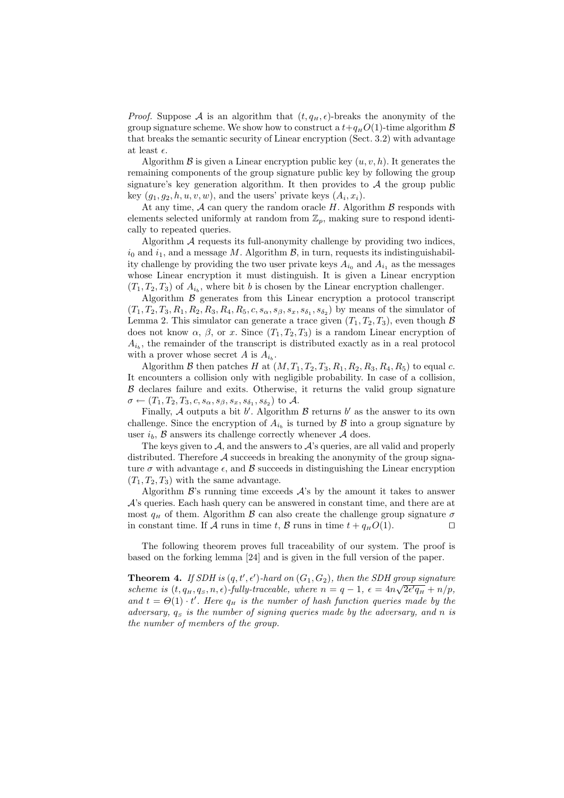*Proof.* Suppose A is an algorithm that  $(t, q_H, \epsilon)$ -breaks the anonymity of the group signature scheme. We show how to construct a  $t+q<sub>H</sub>O(1)$ -time algorithm  $\beta$ that breaks the semantic security of Linear encryption (Sect. 3.2) with advantage at least  $\epsilon$ .

Algorithm  $\mathcal B$  is given a Linear encryption public key  $(u, v, h)$ . It generates the remaining components of the group signature public key by following the group signature's key generation algorithm. It then provides to  $A$  the group public key  $(g_1, g_2, h, u, v, w)$ , and the users' private keys  $(A_i, x_i)$ .

At any time,  $A$  can query the random oracle H. Algorithm  $\beta$  responds with elements selected uniformly at random from  $\mathbb{Z}_p$ , making sure to respond identically to repeated queries.

Algorithm A requests its full-anonymity challenge by providing two indices,  $i_0$  and  $i_1$ , and a message M. Algorithm  $\mathcal{B}$ , in turn, requests its indistinguishability challenge by providing the two user private keys  $A_{i_0}$  and  $A_{i_1}$  as the messages whose Linear encryption it must distinguish. It is given a Linear encryption  $(T_1, T_2, T_3)$  of  $A_{i_b}$ , where bit b is chosen by the Linear encryption challenger.

Algorithm  $\beta$  generates from this Linear encryption a protocol transcript  $(T_1, T_2, T_3, R_1, R_2, R_3, R_4, R_5, c, s_\alpha, s_\beta, s_x, s_{\delta_1}, s_{\delta_2})$  by means of the simulator of Lemma 2. This simulator can generate a trace given  $(T_1, T_2, T_3)$ , even though  $\beta$ does not know  $\alpha$ ,  $\beta$ , or x. Since  $(T_1, T_2, T_3)$  is a random Linear encryption of  $A_{i_b}$ , the remainder of the transcript is distributed exactly as in a real protocol with a prover whose secret A is  $A_{i_b}$ .

Algorithm B then patches H at  $(M, T_1, T_2, T_3, R_1, R_2, R_3, R_4, R_5)$  to equal c. It encounters a collision only with negligible probability. In case of a collision,  $\beta$  declares failure and exits. Otherwise, it returns the valid group signature  $\sigma \leftarrow (T_1, T_2, T_3, c, s_\alpha, s_\beta, s_x, s_{\delta_1}, s_{\delta_2})$  to  $\mathcal{A}.$ 

Finally, A outputs a bit  $b'$ . Algorithm  $\mathcal B$  returns  $b'$  as the answer to its own challenge. Since the encryption of  $A_{i_b}$  is turned by  $\mathcal{B}$  into a group signature by user  $i_b$ ,  $\beta$  answers its challenge correctly whenever  $\mathcal A$  does.

The keys given to  $A$ , and the answers to  $A$ 's queries, are all valid and properly distributed. Therefore  $A$  succeeds in breaking the anonymity of the group signature  $\sigma$  with advantage  $\epsilon$ , and  $\beta$  succeeds in distinguishing the Linear encryption  $(T_1, T_2, T_3)$  with the same advantage.

Algorithm  $\mathcal{B}$ 's running time exceeds  $\mathcal{A}$ 's by the amount it takes to answer  $\mathcal{A}$ 's queries. Each hash query can be answered in constant time, and there are at most  $q_H$  of them. Algorithm  $\beta$  can also create the challenge group signature  $\sigma$ in constant time. If A runs in time t, B runs in time  $t + q<sub>H</sub>O(1)$ .

The following theorem proves full traceability of our system. The proof is based on the forking lemma [24] and is given in the full version of the paper.

**Theorem 4.** If SDH is  $(q, t', \epsilon')$ -hard on  $(G_1, G_2)$ , then the SDH group signature scheme is  $(t, q_H, q_S, n, \epsilon)$ -fully-traceable, where  $n = q - 1$ ,  $\epsilon = 4n\sqrt{2\epsilon' q_H} + n/p$ , and  $t = \Theta(1) \cdot t'$ . Here  $q_H$  is the number of hash function queries made by the adversary,  $q<sub>S</sub>$  is the number of signing queries made by the adversary, and n is the number of members of the group.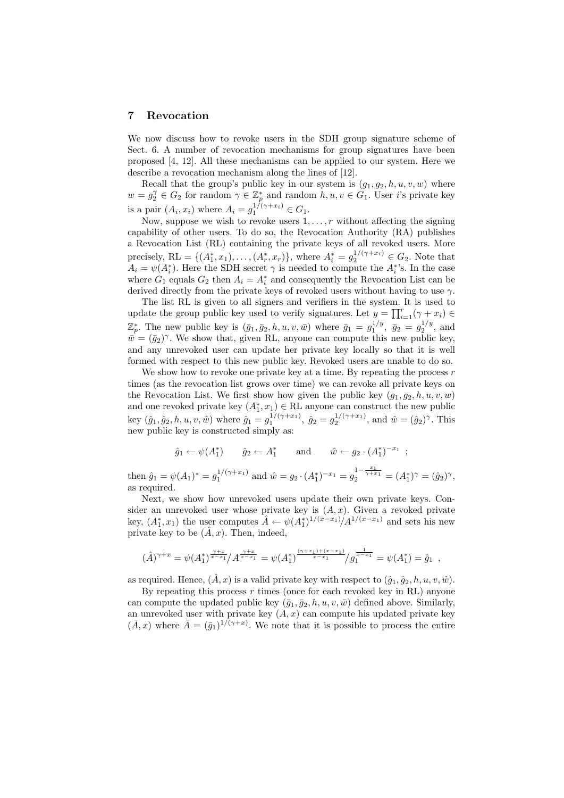#### 7 Revocation

We now discuss how to revoke users in the SDH group signature scheme of Sect. 6. A number of revocation mechanisms for group signatures have been proposed [4, 12]. All these mechanisms can be applied to our system. Here we describe a revocation mechanism along the lines of [12].

Recall that the group's public key in our system is  $(g_1, g_2, h, u, v, w)$  where  $w = g_2^{\gamma} \in G_2$  for random  $\gamma \in \mathbb{Z}_p^*$  and random  $h, u, v \in \tilde{G}_1$ . User *i*'s private key is a pair  $(A_i, x_i)$  where  $A_i = g_1^{1/(\gamma + x_i)} \in G_1$ .

Now, suppose we wish to revoke users  $1, \ldots, r$  without affecting the signing capability of other users. To do so, the Revocation Authority (RA) publishes a Revocation List (RL) containing the private keys of all revoked users. More precisely, RL = { $(A_1^*, x_1),..., (A_r^*, x_r)$ }, where  $A_i^* = g_2^{1/(\gamma + x_i)} \in G_2$ . Note that  $A_i = \psi(A_i^*)$ . Here the SDH secret  $\gamma$  is needed to compute the  $A_i^*$ 's. In the case where  $G_1$  equals  $G_2$  then  $A_i = A_i^*$  and consequently the Revocation List can be derived directly from the private keys of revoked users without having to use  $\gamma$ .

The list RL is given to all signers and verifiers in the system. It is used to update the group public key used to verify signatures. Let  $y = \prod_{i=1}^{r}(\gamma + x_i) \in$  $\mathbb{Z}_p^*$ . The new public key is  $(\bar{g}_1, \bar{g}_2, h, u, v, \bar{w})$  where  $\bar{g}_1 = g_1^{1/y}$ ,  $\bar{g}_2 = g_2^{1/y}$ , and  $\bar{w} = (\bar{g}_2)^{\gamma}$ . We show that, given RL, anyone can compute this new public key, and any unrevoked user can update her private key locally so that it is well formed with respect to this new public key. Revoked users are unable to do so.

We show how to revoke one private key at a time. By repeating the process  $r$ times (as the revocation list grows over time) we can revoke all private keys on the Revocation List. We first show how given the public key  $(g_1, g_2, h, u, v, w)$ and one revoked private key  $(A_1^*, x_1) \in \text{RL}$  anyone can construct the new public key  $(\hat{g}_1, \hat{g}_2, h, u, v, \hat{w})$  where  $\hat{g}_1 = g_1^{1/(\gamma + x_1)}, \hat{g}_2 = g_2^{1/(\gamma + x_1)},$  and  $\hat{w} = (\hat{g}_2)^{\gamma}$ . This new public key is constructed simply as:

$$
\hat{g}_1 \leftarrow \psi(A_1^*)
$$
  $\hat{g}_2 \leftarrow A_1^*$  and  $\hat{w} \leftarrow g_2 \cdot (A_1^*)^{-x_1}$ ;

then  $\hat{g}_1 = \psi(A_1)^* = g_1^{1/(\gamma + x_1)}$  and  $\hat{w} = g_2 \cdot (A_1^*)^{-x_1} = g_2^{1 - \frac{x_1}{\gamma + x_1}} = (A_1^*)^{\gamma} = (\hat{g}_2)^{\gamma}$ , as required.

Next, we show how unrevoked users update their own private keys. Consider an unrevoked user whose private key is  $(A, x)$ . Given a revoked private key,  $(A_1^*, x_1)$  the user computes  $A \leftarrow \psi(A_1^*)^{1/(x-x_1)}/A^{1/(x-x_1)}$  and sets his new private key to be  $(\hat{A}, x)$ . Then, indeed,

$$
(\hat{A})^{\gamma+x} = \psi(A_1^*)^{\frac{\gamma+x}{x-x_1}}/A^{\frac{\gamma+x}{x-x_1}} = \psi(A_1^*)^{\frac{(\gamma+x_1)+(x-x_1)}{x-x_1}}/g_1^{\frac{1}{x-x_1}} = \psi(A_1^*) = \hat{g}_1,
$$

as required. Hence,  $(\hat{A}, x)$  is a valid private key with respect to  $(\hat{g}_1, \hat{g}_2, h, u, v, \hat{w})$ .

By repeating this process  $r$  times (once for each revoked key in RL) anyone can compute the updated public key  $(\bar{g}_1, \bar{g}_2, h, u, v, \bar{w})$  defined above. Similarly, an unrevoked user with private key  $(A, x)$  can compute his updated private key  $(\bar{A},x)$  where  $\bar{A}=(\bar{g}_1)^{1/(\gamma+x)}$ . We note that it is possible to process the entire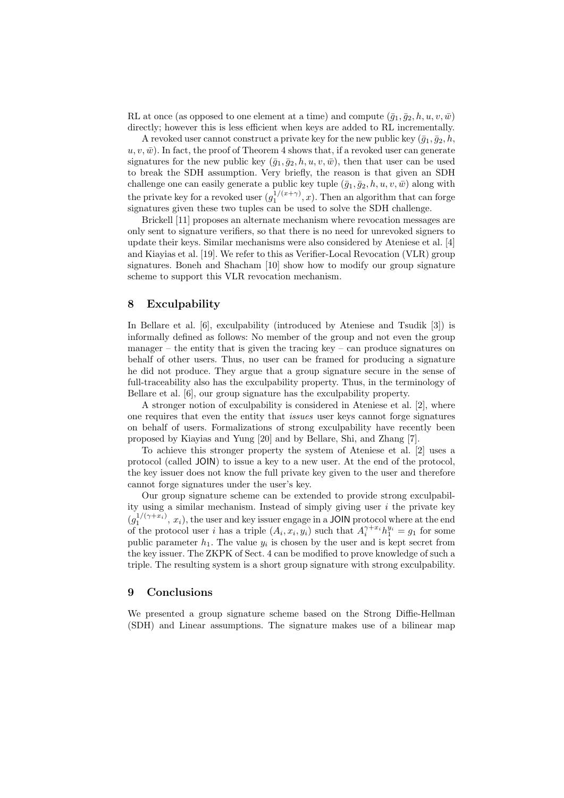RL at once (as opposed to one element at a time) and compute  $(\bar{q}_1, \bar{q}_2, h, u, v, \bar{w})$ directly; however this is less efficient when keys are added to RL incrementally.

A revoked user cannot construct a private key for the new public key  $(\bar{g}_1, \bar{g}_2, h, \bar{g}_3)$  $u, v, \bar{w}$ ). In fact, the proof of Theorem 4 shows that, if a revoked user can generate signatures for the new public key  $(\bar{g}_1, \bar{g}_2, h, u, v, \bar{w})$ , then that user can be used to break the SDH assumption. Very briefly, the reason is that given an SDH challenge one can easily generate a public key tuple  $(\bar{g}_1, \bar{g}_2, h, u, v, \bar{w})$  along with the private key for a revoked user  $(g_1^{1/(x+\gamma)}, x)$ . Then an algorithm that can forge signatures given these two tuples can be used to solve the SDH challenge.

Brickell [11] proposes an alternate mechanism where revocation messages are only sent to signature verifiers, so that there is no need for unrevoked signers to update their keys. Similar mechanisms were also considered by Ateniese et al. [4] and Kiayias et al. [19]. We refer to this as Verifier-Local Revocation (VLR) group signatures. Boneh and Shacham [10] show how to modify our group signature scheme to support this VLR revocation mechanism.

## 8 Exculpability

In Bellare et al. [6], exculpability (introduced by Ateniese and Tsudik [3]) is informally defined as follows: No member of the group and not even the group manager – the entity that is given the tracing key – can produce signatures on behalf of other users. Thus, no user can be framed for producing a signature he did not produce. They argue that a group signature secure in the sense of full-traceability also has the exculpability property. Thus, in the terminology of Bellare et al. [6], our group signature has the exculpability property.

A stronger notion of exculpability is considered in Ateniese et al. [2], where one requires that even the entity that issues user keys cannot forge signatures on behalf of users. Formalizations of strong exculpability have recently been proposed by Kiayias and Yung [20] and by Bellare, Shi, and Zhang [7].

To achieve this stronger property the system of Ateniese et al. [2] uses a protocol (called JOIN) to issue a key to a new user. At the end of the protocol, the key issuer does not know the full private key given to the user and therefore cannot forge signatures under the user's key.

Our group signature scheme can be extended to provide strong exculpability using a similar mechanism. Instead of simply giving user  $i$  the private key  $(g_1^{1/(\gamma+x_i)}, x_i)$ , the user and key issuer engage in a JOIN protocol where at the end of the protocol user i has a triple  $(A_i, x_i, y_i)$  such that  $A_i^{\gamma + x_i} h_1^{y_i} = g_1$  for some public parameter  $h_1$ . The value  $y_i$  is chosen by the user and is kept secret from the key issuer. The ZKPK of Sect. 4 can be modified to prove knowledge of such a triple. The resulting system is a short group signature with strong exculpability.

## 9 Conclusions

We presented a group signature scheme based on the Strong Diffie-Hellman (SDH) and Linear assumptions. The signature makes use of a bilinear map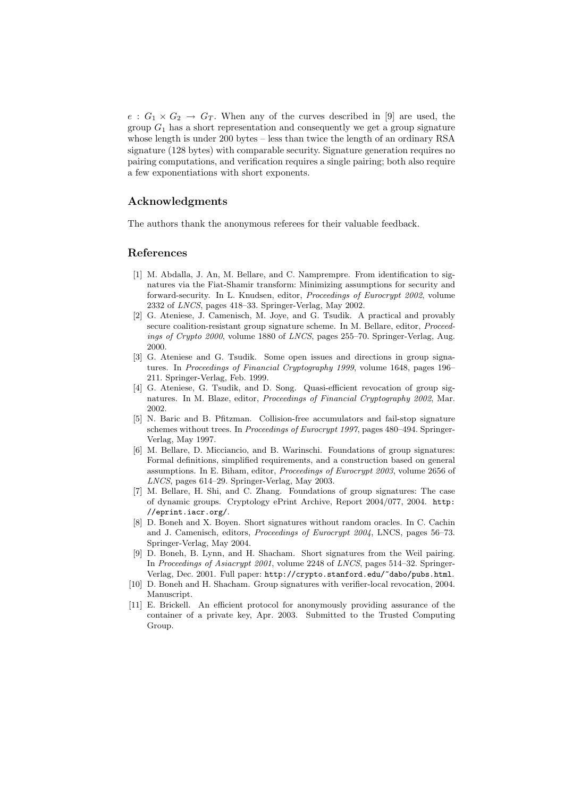$e: G_1 \times G_2 \to G_T$ . When any of the curves described in [9] are used, the group  $G_1$  has a short representation and consequently we get a group signature whose length is under 200 bytes – less than twice the length of an ordinary RSA signature (128 bytes) with comparable security. Signature generation requires no pairing computations, and verification requires a single pairing; both also require a few exponentiations with short exponents.

## Acknowledgments

The authors thank the anonymous referees for their valuable feedback.

#### References

- [1] M. Abdalla, J. An, M. Bellare, and C. Namprempre. From identification to signatures via the Fiat-Shamir transform: Minimizing assumptions for security and forward-security. In L. Knudsen, editor, Proceedings of Eurocrypt 2002, volume 2332 of LNCS, pages 418–33. Springer-Verlag, May 2002.
- [2] G. Ateniese, J. Camenisch, M. Joye, and G. Tsudik. A practical and provably secure coalition-resistant group signature scheme. In M. Bellare, editor, Proceedings of Crypto 2000, volume 1880 of LNCS, pages 255–70. Springer-Verlag, Aug. 2000.
- [3] G. Ateniese and G. Tsudik. Some open issues and directions in group signatures. In Proceedings of Financial Cryptography 1999, volume 1648, pages 196– 211. Springer-Verlag, Feb. 1999.
- [4] G. Ateniese, G. Tsudik, and D. Song. Quasi-efficient revocation of group signatures. In M. Blaze, editor, Proceedings of Financial Cryptography 2002, Mar. 2002.
- [5] N. Baric and B. Pfitzman. Collision-free accumulators and fail-stop signature schemes without trees. In Proceedings of Eurocrypt 1997, pages 480–494. Springer-Verlag, May 1997.
- [6] M. Bellare, D. Micciancio, and B. Warinschi. Foundations of group signatures: Formal definitions, simplified requirements, and a construction based on general assumptions. In E. Biham, editor, Proceedings of Eurocrypt 2003, volume 2656 of LNCS, pages 614–29. Springer-Verlag, May 2003.
- [7] M. Bellare, H. Shi, and C. Zhang. Foundations of group signatures: The case of dynamic groups. Cryptology ePrint Archive, Report 2004/077, 2004. http: //eprint.iacr.org/.
- [8] D. Boneh and X. Boyen. Short signatures without random oracles. In C. Cachin and J. Camenisch, editors, Proceedings of Eurocrypt 2004, LNCS, pages 56–73. Springer-Verlag, May 2004.
- [9] D. Boneh, B. Lynn, and H. Shacham. Short signatures from the Weil pairing. In Proceedings of Asiacrypt 2001, volume 2248 of LNCS, pages 514–32. Springer-Verlag, Dec. 2001. Full paper: http://crypto.stanford.edu/~dabo/pubs.html.
- [10] D. Boneh and H. Shacham. Group signatures with verifier-local revocation, 2004. Manuscript.
- [11] E. Brickell. An efficient protocol for anonymously providing assurance of the container of a private key, Apr. 2003. Submitted to the Trusted Computing Group.